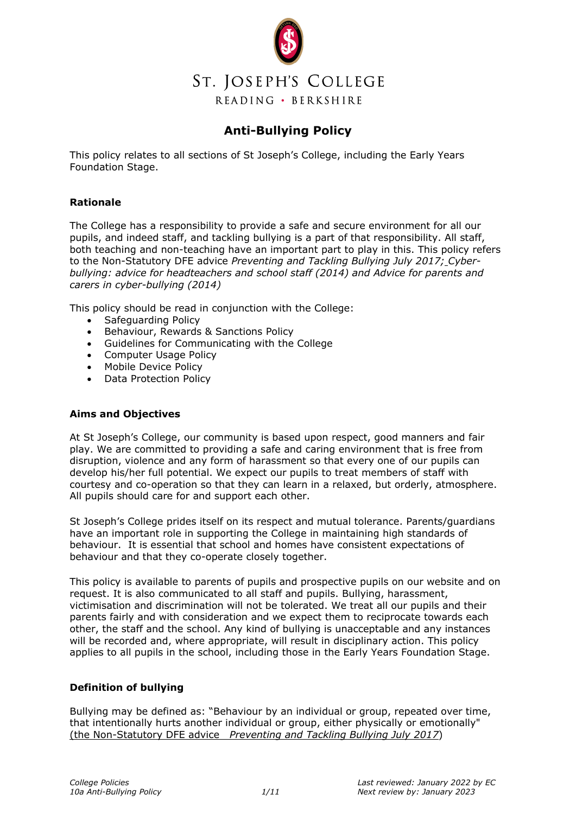

## **Anti-Bullying Policy**

This policy relates to all sections of St Joseph's College, including the Early Years Foundation Stage.

## **Rationale**

The College has a responsibility to provide a safe and secure environment for all our pupils, and indeed staff, and tackling bullying is a part of that responsibility. All staff, both teaching and non-teaching have an important part to play in this. This policy refers to the Non-Statutory DFE advice *Preventing and Tackling Bullying July 2017; Cyberbullying: advice for headteachers and school staff (2014) and Advice for parents and carers in cyber-bullying (2014)*

This policy should be read in conjunction with the College:

- Safeguarding Policy
- Behaviour, Rewards & Sanctions Policy
- Guidelines for Communicating with the College
- Computer Usage Policy
- Mobile Device Policy
- Data Protection Policy

## **Aims and Objectives**

At St Joseph's College, our community is based upon respect, good manners and fair play. We are committed to providing a safe and caring environment that is free from disruption, violence and any form of harassment so that every one of our pupils can develop his/her full potential. We expect our pupils to treat members of staff with courtesy and co-operation so that they can learn in a relaxed, but orderly, atmosphere. All pupils should care for and support each other.

St Joseph's College prides itself on its respect and mutual tolerance. Parents/guardians have an important role in supporting the College in maintaining high standards of behaviour. It is essential that school and homes have consistent expectations of behaviour and that they co-operate closely together.

This policy is available to parents of pupils and prospective pupils on our website and on request. It is also communicated to all staff and pupils. Bullying, harassment, victimisation and discrimination will not be tolerated. We treat all our pupils and their parents fairly and with consideration and we expect them to reciprocate towards each other, the staff and the school. Any kind of bullying is unacceptable and any instances will be recorded and, where appropriate, will result in disciplinary action. This policy applies to all pupils in the school, including those in the Early Years Foundation Stage.

## **Definition of bullying**

Bullying may be defined as: "Behaviour by an individual or group, repeated over time, that intentionally hurts another individual or group, either physically or emotionally" (the Non-Statutory DFE advice *Preventing and Tackling Bullying July 2017*)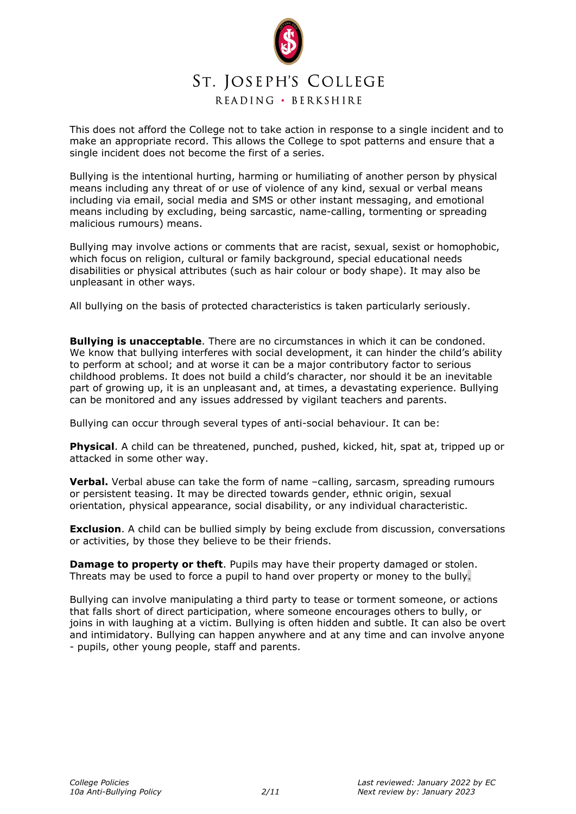

This does not afford the College not to take action in response to a single incident and to make an appropriate record. This allows the College to spot patterns and ensure that a single incident does not become the first of a series.

Bullying is the intentional hurting, harming or humiliating of another person by physical means including any threat of or use of violence of any kind, sexual or verbal means including via email, social media and SMS or other instant messaging, and emotional means including by excluding, being sarcastic, name-calling, tormenting or spreading malicious rumours) means.

Bullying may involve actions or comments that are racist, sexual, sexist or homophobic, which focus on religion, cultural or family background, special educational needs disabilities or physical attributes (such as hair colour or body shape). It may also be unpleasant in other ways.

All bullying on the basis of protected characteristics is taken particularly seriously.

**Bullying is unacceptable**. There are no circumstances in which it can be condoned. We know that bullying interferes with social development, it can hinder the child's ability to perform at school; and at worse it can be a major contributory factor to serious childhood problems. It does not build a child's character, nor should it be an inevitable part of growing up, it is an unpleasant and, at times, a devastating experience. Bullying can be monitored and any issues addressed by vigilant teachers and parents.

Bullying can occur through several types of anti-social behaviour. It can be:

**Physical**. A child can be threatened, punched, pushed, kicked, hit, spat at, tripped up or attacked in some other way.

**Verbal.** Verbal abuse can take the form of name -calling, sarcasm, spreading rumours or persistent teasing. It may be directed towards gender, ethnic origin, sexual orientation, physical appearance, social disability, or any individual characteristic.

**Exclusion**. A child can be bullied simply by being exclude from discussion, conversations or activities, by those they believe to be their friends.

**Damage to property or theft**. Pupils may have their property damaged or stolen. Threats may be used to force a pupil to hand over property or money to the bully.

Bullying can involve manipulating a third party to tease or torment someone, or actions that falls short of direct participation, where someone encourages others to bully, or joins in with laughing at a victim. Bullying is often hidden and subtle. It can also be overt and intimidatory. Bullying can happen anywhere and at any time and can involve anyone - pupils, other young people, staff and parents.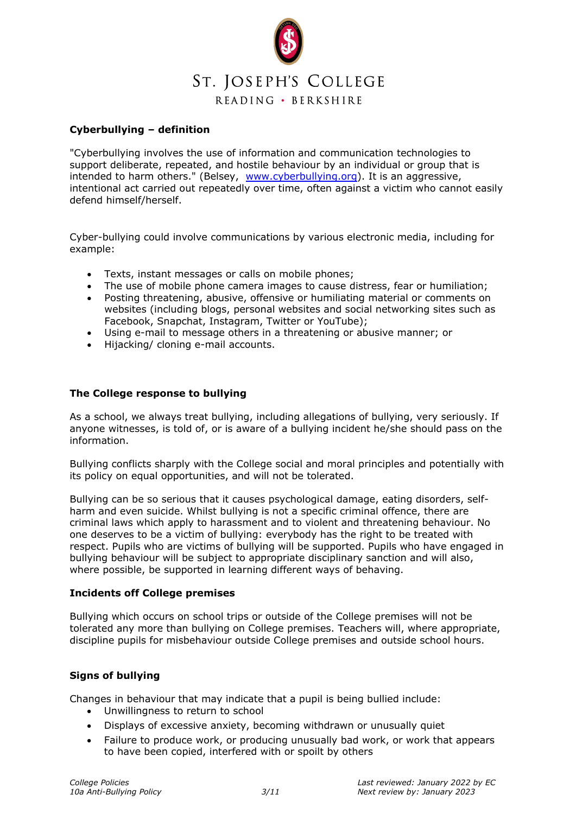

## **Cyberbullying – definition**

"Cyberbullying involves the use of information and communication technologies to support deliberate, repeated, and hostile behaviour by an individual or group that is intended to harm others." (Belsey, [www.cyberbullying.org\)](http://www.cyberbullying.org/). It is an aggressive, intentional act carried out repeatedly over time, often against a victim who cannot easily defend himself/herself.

Cyber-bullying could involve communications by various electronic media, including for example:

- Texts, instant messages or calls on mobile phones;
- The use of mobile phone camera images to cause distress, fear or humiliation;
- Posting threatening, abusive, offensive or humiliating material or comments on websites (including blogs, personal websites and social networking sites such as Facebook, Snapchat, Instagram, Twitter or YouTube);
- Using e-mail to message others in a threatening or abusive manner; or
- Hijacking/ cloning e-mail accounts.

## **The College response to bullying**

As a school, we always treat bullying, including allegations of bullying, very seriously. If anyone witnesses, is told of, or is aware of a bullying incident he/she should pass on the information.

Bullying conflicts sharply with the College social and moral principles and potentially with its policy on equal opportunities, and will not be tolerated.

Bullying can be so serious that it causes psychological damage, eating disorders, selfharm and even suicide. Whilst bullying is not a specific criminal offence, there are criminal laws which apply to harassment and to violent and threatening behaviour. No one deserves to be a victim of bullying: everybody has the right to be treated with respect. Pupils who are victims of bullying will be supported. Pupils who have engaged in bullying behaviour will be subject to appropriate disciplinary sanction and will also, where possible, be supported in learning different ways of behaving.

#### **Incidents off College premises**

Bullying which occurs on school trips or outside of the College premises will not be tolerated any more than bullying on College premises. Teachers will, where appropriate, discipline pupils for misbehaviour outside College premises and outside school hours.

## **Signs of bullying**

Changes in behaviour that may indicate that a pupil is being bullied include:

- Unwillingness to return to school
- Displays of excessive anxiety, becoming withdrawn or unusually quiet
- Failure to produce work, or producing unusually bad work, or work that appears to have been copied, interfered with or spoilt by others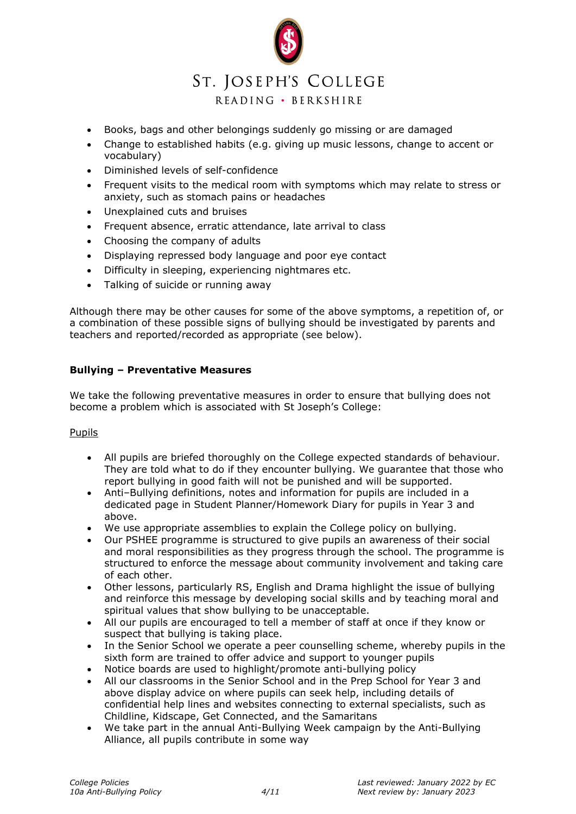# j ST. JOSEPH'S COLLEGE

READING · BERKSHIRE

- Books, bags and other belongings suddenly go missing or are damaged
- Change to established habits (e.g. giving up music lessons, change to accent or vocabulary)
- Diminished levels of self-confidence
- Frequent visits to the medical room with symptoms which may relate to stress or anxiety, such as stomach pains or headaches
- Unexplained cuts and bruises
- Frequent absence, erratic attendance, late arrival to class
- Choosing the company of adults
- Displaying repressed body language and poor eye contact
- Difficulty in sleeping, experiencing nightmares etc.
- Talking of suicide or running away

Although there may be other causes for some of the above symptoms, a repetition of, or a combination of these possible signs of bullying should be investigated by parents and teachers and reported/recorded as appropriate (see below).

#### **Bullying – Preventative Measures**

We take the following preventative measures in order to ensure that bullying does not become a problem which is associated with St Joseph's College:

#### **Pupils**

- All pupils are briefed thoroughly on the College expected standards of behaviour. They are told what to do if they encounter bullying. We guarantee that those who report bullying in good faith will not be punished and will be supported.
- Anti–Bullying definitions, notes and information for pupils are included in a dedicated page in Student Planner/Homework Diary for pupils in Year 3 and above.
- We use appropriate assemblies to explain the College policy on bullying.
- Our PSHEE programme is structured to give pupils an awareness of their social and moral responsibilities as they progress through the school. The programme is structured to enforce the message about community involvement and taking care of each other.
- Other lessons, particularly RS, English and Drama highlight the issue of bullying and reinforce this message by developing social skills and by teaching moral and spiritual values that show bullying to be unacceptable.
- All our pupils are encouraged to tell a member of staff at once if they know or suspect that bullying is taking place.
- In the Senior School we operate a peer counselling scheme, whereby pupils in the sixth form are trained to offer advice and support to younger pupils
- Notice boards are used to highlight/promote anti-bullying policy
- All our classrooms in the Senior School and in the Prep School for Year 3 and above display advice on where pupils can seek help, including details of confidential help lines and websites connecting to external specialists, such as Childline, Kidscape, Get Connected, and the Samaritans
- We take part in the annual Anti-Bullying Week campaign by the Anti-Bullying Alliance, all pupils contribute in some way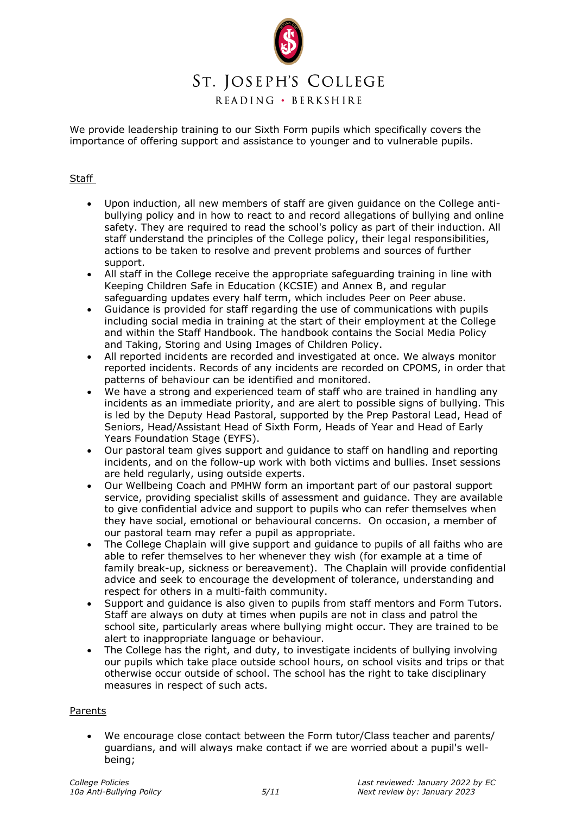

# ST. JOSEPH'S COLLEGE

READING · BERKSHIRE

We provide leadership training to our Sixth Form pupils which specifically covers the importance of offering support and assistance to younger and to vulnerable pupils.

## **Staff**

- Upon induction, all new members of staff are given guidance on the College antibullying policy and in how to react to and record allegations of bullying and online safety. They are required to read the school's policy as part of their induction. All staff understand the principles of the College policy, their legal responsibilities, actions to be taken to resolve and prevent problems and sources of further support.
- All staff in the College receive the appropriate safeguarding training in line with Keeping Children Safe in Education (KCSIE) and Annex B, and regular safeguarding updates every half term, which includes Peer on Peer abuse.
- Guidance is provided for staff regarding the use of communications with pupils including social media in training at the start of their employment at the College and within the Staff Handbook. The handbook contains the Social Media Policy and Taking, Storing and Using Images of Children Policy.
- All reported incidents are recorded and investigated at once. We always monitor reported incidents. Records of any incidents are recorded on CPOMS, in order that patterns of behaviour can be identified and monitored.
- We have a strong and experienced team of staff who are trained in handling any incidents as an immediate priority, and are alert to possible signs of bullying. This is led by the Deputy Head Pastoral, supported by the Prep Pastoral Lead, Head of Seniors, Head/Assistant Head of Sixth Form, Heads of Year and Head of Early Years Foundation Stage (EYFS).
- Our pastoral team gives support and guidance to staff on handling and reporting incidents, and on the follow-up work with both victims and bullies. Inset sessions are held regularly, using outside experts.
- Our Wellbeing Coach and PMHW form an important part of our pastoral support service, providing specialist skills of assessment and guidance. They are available to give confidential advice and support to pupils who can refer themselves when they have social, emotional or behavioural concerns. On occasion, a member of our pastoral team may refer a pupil as appropriate.
- The College Chaplain will give support and guidance to pupils of all faiths who are able to refer themselves to her whenever they wish (for example at a time of family break-up, sickness or bereavement). The Chaplain will provide confidential advice and seek to encourage the development of tolerance, understanding and respect for others in a multi-faith community.
- Support and guidance is also given to pupils from staff mentors and Form Tutors. Staff are always on duty at times when pupils are not in class and patrol the school site, particularly areas where bullying might occur. They are trained to be alert to inappropriate language or behaviour.
- The College has the right, and duty, to investigate incidents of bullying involving our pupils which take place outside school hours, on school visits and trips or that otherwise occur outside of school. The school has the right to take disciplinary measures in respect of such acts.

#### Parents

We encourage close contact between the Form tutor/Class teacher and parents/ guardians, and will always make contact if we are worried about a pupil's wellbeing;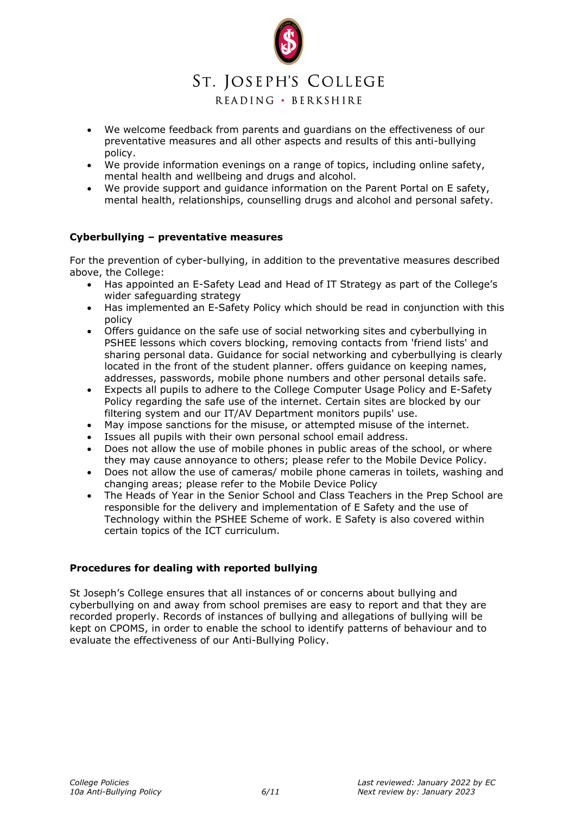

- We welcome feedback from parents and guardians on the effectiveness of our preventative measures and all other aspects and results of this anti-bullying policy.
- We provide information evenings on a range of topics, including online safety, mental health and wellbeing and drugs and alcohol.
- We provide support and guidance information on the Parent Portal on E safety, mental health, relationships, counselling drugs and alcohol and personal safety.

#### **Cyberbullying – preventative measures**

For the prevention of cyber-bullying, in addition to the preventative measures described above, the College:

- Has appointed an E-Safety Lead and Head of IT Strategy as part of the College's wider safeguarding strategy
- Has implemented an E-Safety Policy which should be read in conjunction with this policy
- Offers guidance on the safe use of social networking sites and cyberbullying in PSHEE lessons which covers blocking, removing contacts from 'friend lists' and sharing personal data. Guidance for social networking and cyberbullying is clearly located in the front of the student planner. offers guidance on keeping names, addresses, passwords, mobile phone numbers and other personal details safe.
- Expects all pupils to adhere to the College Computer Usage Policy and E-Safety Policy regarding the safe use of the internet. Certain sites are blocked by our filtering system and our IT/AV Department monitors pupils' use.
- May impose sanctions for the misuse, or attempted misuse of the internet.
- Issues all pupils with their own personal school email address.
- Does not allow the use of mobile phones in public areas of the school, or where they may cause annoyance to others; please refer to the Mobile Device Policy.
- Does not allow the use of cameras/ mobile phone cameras in toilets, washing and changing areas; please refer to the Mobile Device Policy
- The Heads of Year in the Senior School and Class Teachers in the Prep School are responsible for the delivery and implementation of E Safety and the use of Technology within the PSHEE Scheme of work. E Safety is also covered within certain topics of the ICT curriculum.

#### **Procedures for dealing with reported bullying**

St Joseph's College ensures that all instances of or concerns about bullying and cyberbullying on and away from school premises are easy to report and that they are recorded properly. Records of instances of bullying and allegations of bullying will be kept on CPOMS, in order to enable the school to identify patterns of behaviour and to evaluate the effectiveness of our Anti-Bullying Policy.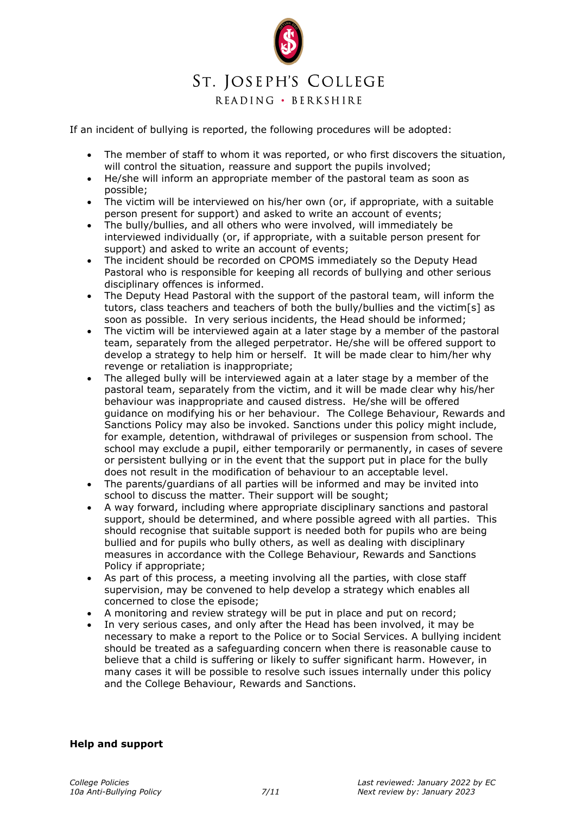

If an incident of bullying is reported, the following procedures will be adopted:

- The member of staff to whom it was reported, or who first discovers the situation, will control the situation, reassure and support the pupils involved;
- He/she will inform an appropriate member of the pastoral team as soon as possible;
- The victim will be interviewed on his/her own (or, if appropriate, with a suitable person present for support) and asked to write an account of events;
- The bully/bullies, and all others who were involved, will immediately be interviewed individually (or, if appropriate, with a suitable person present for support) and asked to write an account of events;
- The incident should be recorded on CPOMS immediately so the Deputy Head Pastoral who is responsible for keeping all records of bullying and other serious disciplinary offences is informed.
- The Deputy Head Pastoral with the support of the pastoral team, will inform the tutors, class teachers and teachers of both the bully/bullies and the victim[s] as soon as possible. In very serious incidents, the Head should be informed;
- The victim will be interviewed again at a later stage by a member of the pastoral team, separately from the alleged perpetrator. He/she will be offered support to develop a strategy to help him or herself. It will be made clear to him/her why revenge or retaliation is inappropriate;
- The alleged bully will be interviewed again at a later stage by a member of the pastoral team, separately from the victim, and it will be made clear why his/her behaviour was inappropriate and caused distress. He/she will be offered guidance on modifying his or her behaviour. The College Behaviour, Rewards and Sanctions Policy may also be invoked. Sanctions under this policy might include, for example, detention, withdrawal of privileges or suspension from school. The school may exclude a pupil, either temporarily or permanently, in cases of severe or persistent bullying or in the event that the support put in place for the bully does not result in the modification of behaviour to an acceptable level.
- The parents/guardians of all parties will be informed and may be invited into school to discuss the matter. Their support will be sought;
- A way forward, including where appropriate disciplinary sanctions and pastoral support, should be determined, and where possible agreed with all parties. This should recognise that suitable support is needed both for pupils who are being bullied and for pupils who bully others, as well as dealing with disciplinary measures in accordance with the College Behaviour, Rewards and Sanctions Policy if appropriate;
- As part of this process, a meeting involving all the parties, with close staff supervision, may be convened to help develop a strategy which enables all concerned to close the episode;
- A monitoring and review strategy will be put in place and put on record;
- In very serious cases, and only after the Head has been involved, it may be necessary to make a report to the Police or to Social Services. A bullying incident should be treated as a safeguarding concern when there is reasonable cause to believe that a child is suffering or likely to suffer significant harm. However, in many cases it will be possible to resolve such issues internally under this policy and the College Behaviour, Rewards and Sanctions.

## **Help and support**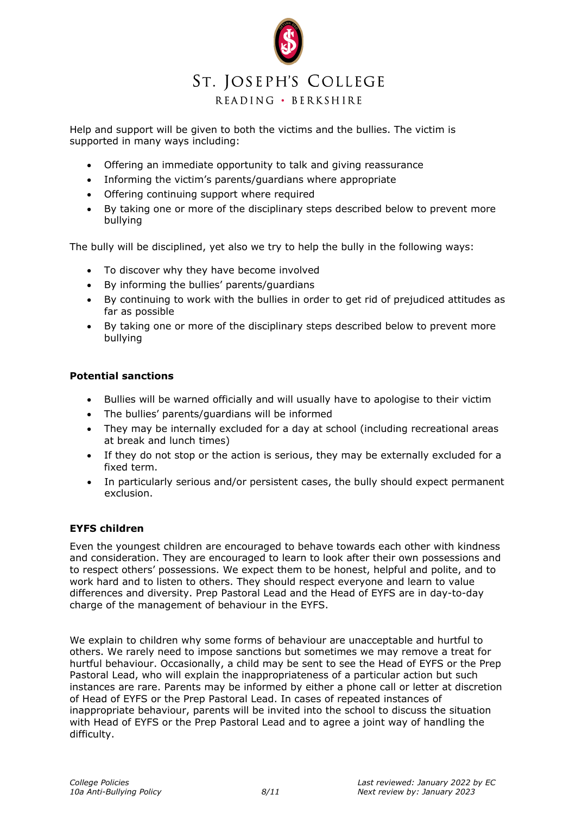

Help and support will be given to both the victims and the bullies. The victim is supported in many ways including:

- Offering an immediate opportunity to talk and giving reassurance
- Informing the victim's parents/guardians where appropriate
- Offering continuing support where required
- By taking one or more of the disciplinary steps described below to prevent more bullying

The bully will be disciplined, yet also we try to help the bully in the following ways:

- To discover why they have become involved
- By informing the bullies' parents/guardians
- By continuing to work with the bullies in order to get rid of prejudiced attitudes as far as possible
- By taking one or more of the disciplinary steps described below to prevent more bullying

## **Potential sanctions**

- Bullies will be warned officially and will usually have to apologise to their victim
- The bullies' parents/guardians will be informed
- They may be internally excluded for a day at school (including recreational areas at break and lunch times)
- If they do not stop or the action is serious, they may be externally excluded for a fixed term.
- In particularly serious and/or persistent cases, the bully should expect permanent exclusion.

## **EYFS children**

Even the youngest children are encouraged to behave towards each other with kindness and consideration. They are encouraged to learn to look after their own possessions and to respect others' possessions. We expect them to be honest, helpful and polite, and to work hard and to listen to others. They should respect everyone and learn to value differences and diversity. Prep Pastoral Lead and the Head of EYFS are in day-to-day charge of the management of behaviour in the EYFS.

We explain to children why some forms of behaviour are unacceptable and hurtful to others. We rarely need to impose sanctions but sometimes we may remove a treat for hurtful behaviour. Occasionally, a child may be sent to see the Head of EYFS or the Prep Pastoral Lead, who will explain the inappropriateness of a particular action but such instances are rare. Parents may be informed by either a phone call or letter at discretion of Head of EYFS or the Prep Pastoral Lead. In cases of repeated instances of inappropriate behaviour, parents will be invited into the school to discuss the situation with Head of EYFS or the Prep Pastoral Lead and to agree a joint way of handling the difficulty.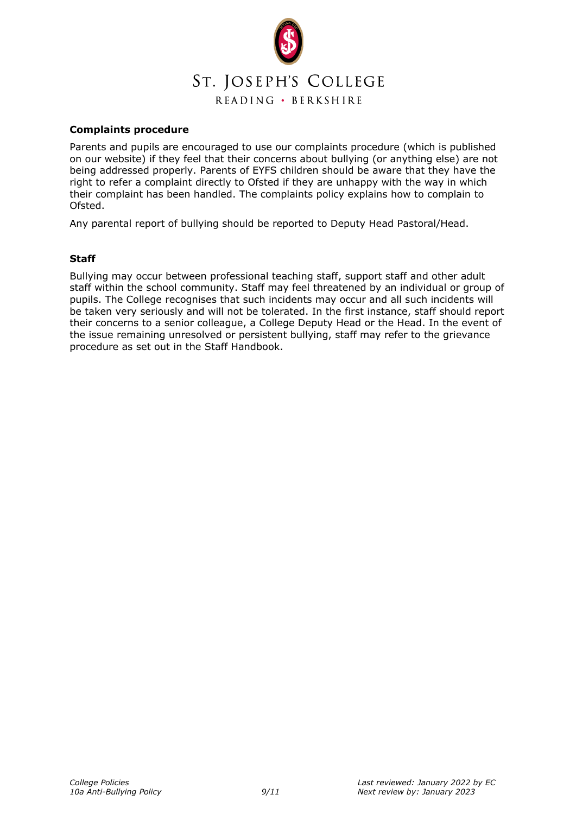

### **Complaints procedure**

Parents and pupils are encouraged to use our complaints procedure (which is published on our website) if they feel that their concerns about bullying (or anything else) are not being addressed properly. Parents of EYFS children should be aware that they have the right to refer a complaint directly to Ofsted if they are unhappy with the way in which their complaint has been handled. The complaints policy explains how to complain to Ofsted.

Any parental report of bullying should be reported to Deputy Head Pastoral/Head.

#### **Staff**

Bullying may occur between professional teaching staff, support staff and other adult staff within the school community. Staff may feel threatened by an individual or group of pupils. The College recognises that such incidents may occur and all such incidents will be taken very seriously and will not be tolerated. In the first instance, staff should report their concerns to a senior colleague, a College Deputy Head or the Head. In the event of the issue remaining unresolved or persistent bullying, staff may refer to the grievance procedure as set out in the Staff Handbook.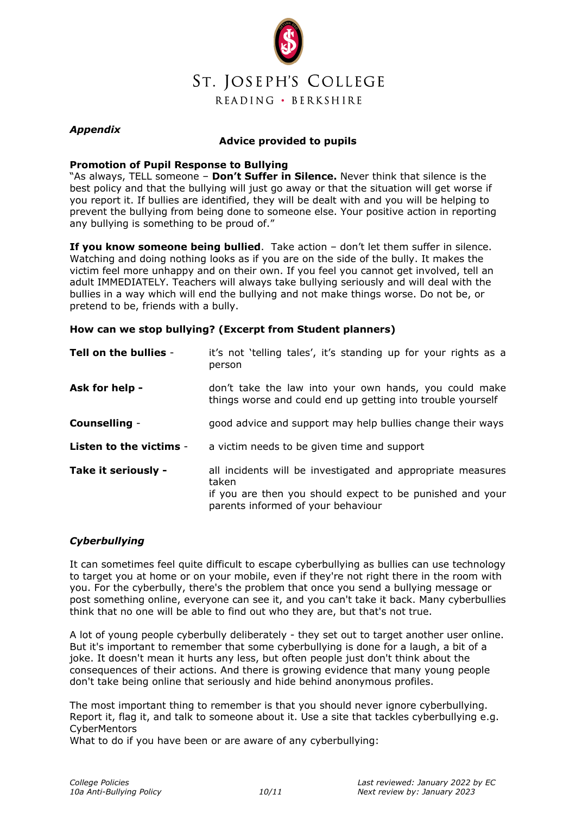

## *Appendix*

## **Advice provided to pupils**

#### **Promotion of Pupil Response to Bullying**

"As always, TELL someone – **Don't Suffer in Silence.** Never think that silence is the best policy and that the bullying will just go away or that the situation will get worse if you report it. If bullies are identified, they will be dealt with and you will be helping to prevent the bullying from being done to someone else. Your positive action in reporting any bullying is something to be proud of."

**If you know someone being bullied**. Take action – don't let them suffer in silence. Watching and doing nothing looks as if you are on the side of the bully. It makes the victim feel more unhappy and on their own. If you feel you cannot get involved, tell an adult IMMEDIATELY. Teachers will always take bullying seriously and will deal with the bullies in a way which will end the bullying and not make things worse. Do not be, or pretend to be, friends with a bully.

## **How can we stop bullying? (Excerpt from Student planners)**

| Tell on the bullies -   | it's not 'telling tales', it's standing up for your rights as a<br>person                                                                                               |
|-------------------------|-------------------------------------------------------------------------------------------------------------------------------------------------------------------------|
| Ask for help -          | don't take the law into your own hands, you could make<br>things worse and could end up getting into trouble yourself                                                   |
| Counselling -           | good advice and support may help bullies change their ways                                                                                                              |
| Listen to the victims - | a victim needs to be given time and support                                                                                                                             |
| Take it seriously -     | all incidents will be investigated and appropriate measures<br>taken<br>if you are then you should expect to be punished and your<br>parents informed of your behaviour |

## *Cyberbullying*

It can sometimes feel quite difficult to escape cyberbullying as bullies can use technology to target you at home or on your mobile, even if they're not right there in the room with you. For the cyberbully, there's the problem that once you send a bullying message or post something online, everyone can see it, and you can't take it back. Many cyberbullies think that no one will be able to find out who they are, but that's not true.

A lot of young people cyberbully deliberately - they set out to target another user online. But it's important to remember that some cyberbullying is done for a laugh, a bit of a joke. It doesn't mean it hurts any less, but often people just don't think about the consequences of their actions. And there is growing evidence that many young people don't take being online that seriously and hide behind anonymous profiles.

The most important thing to remember is that you should never ignore cyberbullying. [Report it,](http://cybermentors.org.uk/index.php?option=com_weblinks&task=new) flag it, and talk to someone about it. Use a site that tackles cyberbullying e.g. **CyberMentors** 

What to do if you have been or are aware of any cyberbullying: